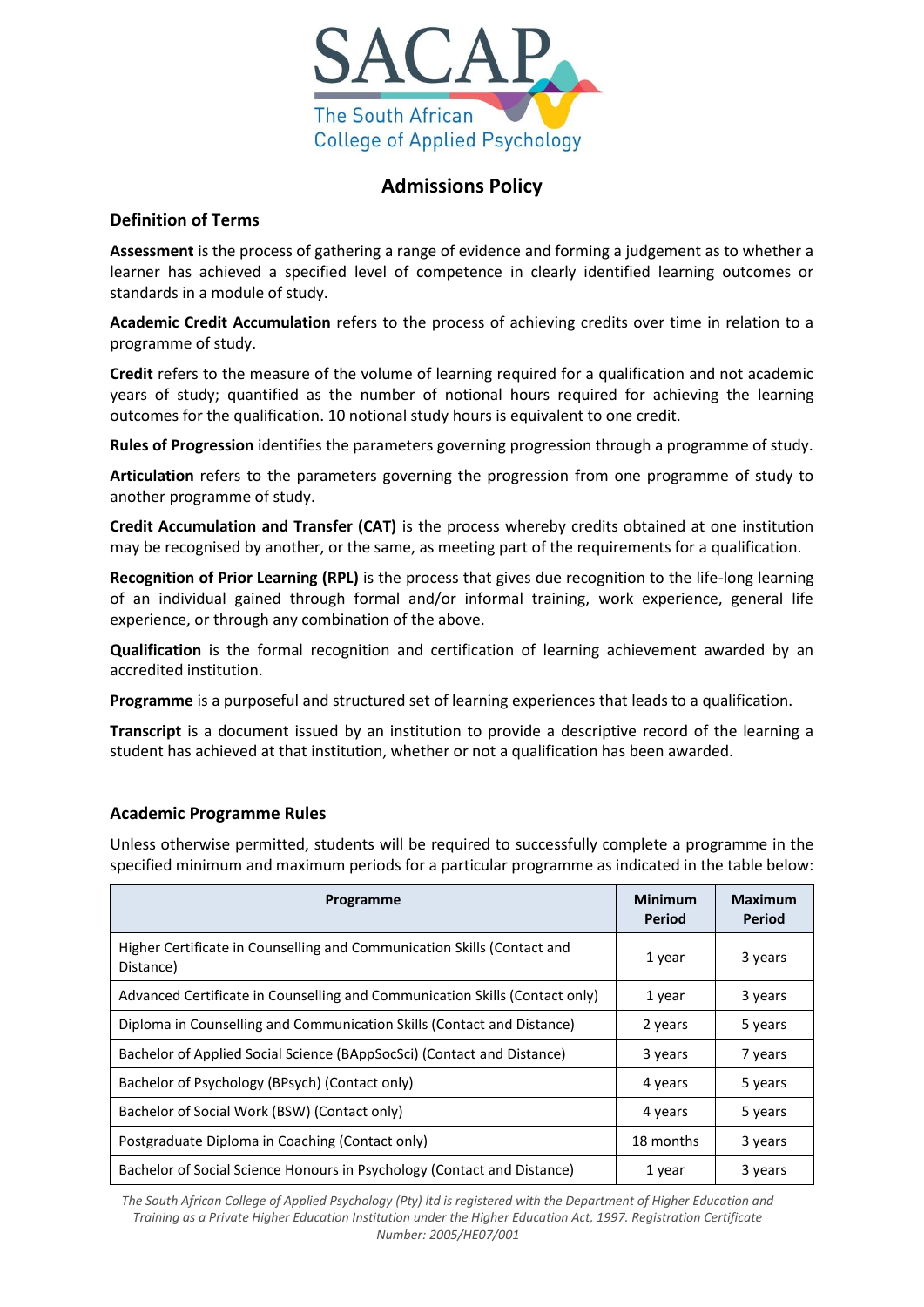

# **Admissions Policy**

## **Definition of Terms**

**Assessment** is the process of gathering a range of evidence and forming a judgement as to whether a learner has achieved a specified level of competence in clearly identified learning outcomes or standards in a module of study.

**Academic Credit Accumulation** refers to the process of achieving credits over time in relation to a programme of study.

**Credit** refers to the measure of the volume of learning required for a qualification and not academic years of study; quantified as the number of notional hours required for achieving the learning outcomes for the qualification. 10 notional study hours is equivalent to one credit.

**Rules of Progression** identifies the parameters governing progression through a programme of study.

**Articulation** refers to the parameters governing the progression from one programme of study to another programme of study.

**Credit Accumulation and Transfer (CAT)** is the process whereby credits obtained at one institution may be recognised by another, or the same, as meeting part of the requirements for a qualification.

**Recognition of Prior Learning (RPL)** is the process that gives due recognition to the life-long learning of an individual gained through formal and/or informal training, work experience, general life experience, or through any combination of the above.

**Qualification** is the formal recognition and certification of learning achievement awarded by an accredited institution.

**Programme** is a purposeful and structured set of learning experiences that leads to a qualification.

**Transcript** is a document issued by an institution to provide a descriptive record of the learning a student has achieved at that institution, whether or not a qualification has been awarded.

## **Academic Programme Rules**

Unless otherwise permitted, students will be required to successfully complete a programme in the specified minimum and maximum periods for a particular programme as indicated in the table below:

| Programme                                                                            | <b>Minimum</b><br>Period | <b>Maximum</b><br><b>Period</b> |
|--------------------------------------------------------------------------------------|--------------------------|---------------------------------|
| Higher Certificate in Counselling and Communication Skills (Contact and<br>Distance) | 1 year                   | 3 years                         |
| Advanced Certificate in Counselling and Communication Skills (Contact only)          | 1 year                   | 3 years                         |
| Diploma in Counselling and Communication Skills (Contact and Distance)               | 2 years                  | 5 years                         |
| Bachelor of Applied Social Science (BAppSocSci) (Contact and Distance)               | 3 years                  | 7 years                         |
| Bachelor of Psychology (BPsych) (Contact only)                                       | 4 years                  | 5 years                         |
| Bachelor of Social Work (BSW) (Contact only)                                         | 4 years                  | 5 years                         |
| Postgraduate Diploma in Coaching (Contact only)                                      | 18 months                | 3 years                         |
| Bachelor of Social Science Honours in Psychology (Contact and Distance)              | 1 year                   | 3 years                         |

*The South African College of Applied Psychology (Pty) ltd is registered with the Department of Higher Education and Training as a Private Higher Education Institution under the Higher Education Act, 1997. Registration Certificate Number: 2005/HE07/001*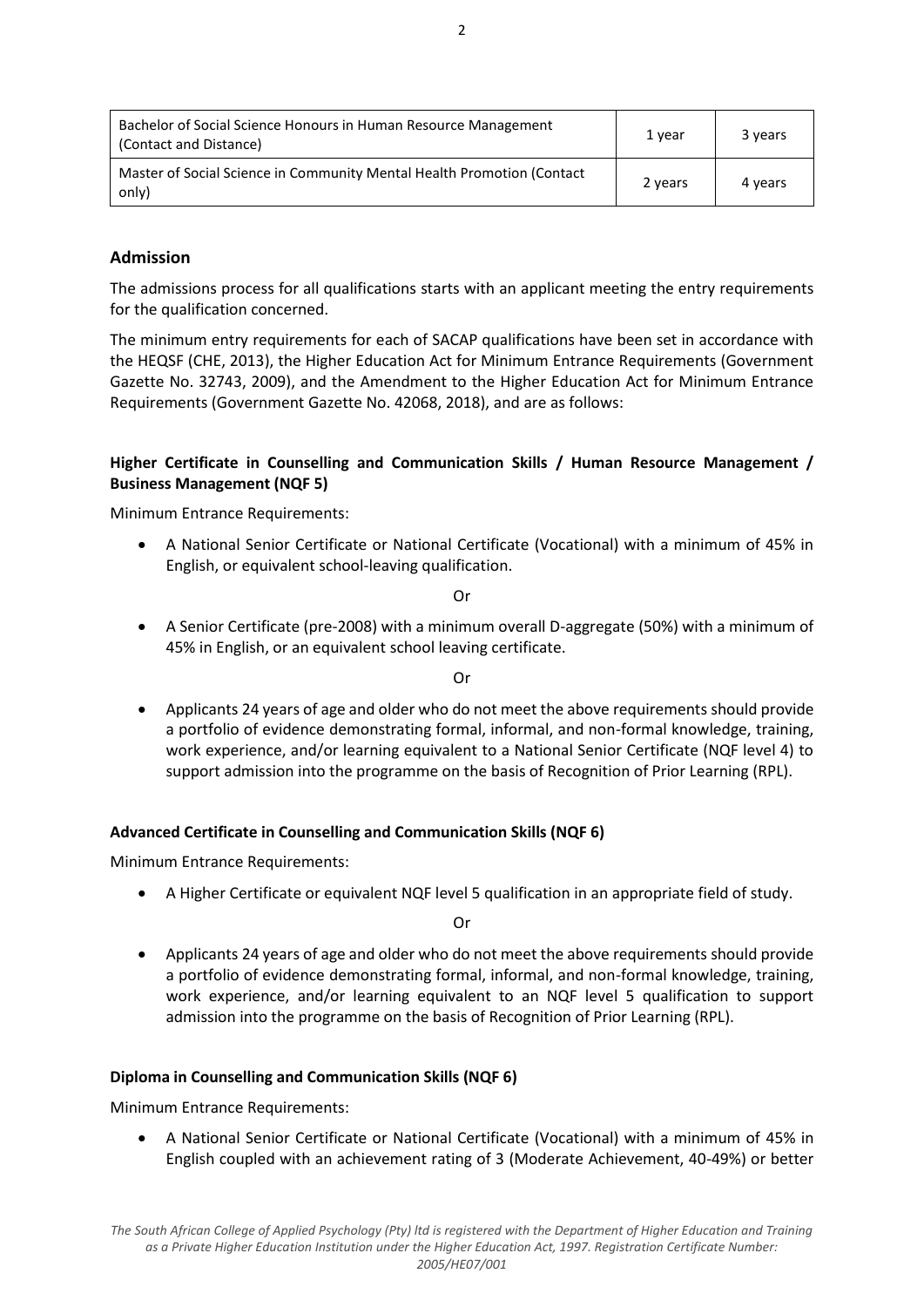| Bachelor of Social Science Honours in Human Resource Management<br>(Contact and Distance) | 1 year  | 3 years |
|-------------------------------------------------------------------------------------------|---------|---------|
| Master of Social Science in Community Mental Health Promotion (Contact<br>only)           | 2 years | 4 years |

## **Admission**

The admissions process for all qualifications starts with an applicant meeting the entry requirements for the qualification concerned.

The minimum entry requirements for each of SACAP qualifications have been set in accordance with the HEQSF (CHE, 2013), the Higher Education Act for Minimum Entrance Requirements (Government Gazette No. 32743, 2009), and the Amendment to the Higher Education Act for Minimum Entrance Requirements (Government Gazette No. 42068, 2018), and are as follows:

## **Higher Certificate in Counselling and Communication Skills / Human Resource Management / Business Management (NQF 5)**

Minimum Entrance Requirements:

 A National Senior Certificate or National Certificate (Vocational) with a minimum of 45% in English, or equivalent school-leaving qualification.

Or

 A Senior Certificate (pre-2008) with a minimum overall D-aggregate (50%) with a minimum of 45% in English, or an equivalent school leaving certificate.

Or

 Applicants 24 years of age and older who do not meet the above requirements should provide a portfolio of evidence demonstrating formal, informal, and non-formal knowledge, training, work experience, and/or learning equivalent to a National Senior Certificate (NQF level 4) to support admission into the programme on the basis of Recognition of Prior Learning (RPL).

### **Advanced Certificate in Counselling and Communication Skills (NQF 6)**

Minimum Entrance Requirements:

A Higher Certificate or equivalent NQF level 5 qualification in an appropriate field of study.

Or

 Applicants 24 years of age and older who do not meet the above requirements should provide a portfolio of evidence demonstrating formal, informal, and non-formal knowledge, training, work experience, and/or learning equivalent to an NQF level 5 qualification to support admission into the programme on the basis of Recognition of Prior Learning (RPL).

### **Diploma in Counselling and Communication Skills (NQF 6)**

Minimum Entrance Requirements:

 A National Senior Certificate or National Certificate (Vocational) with a minimum of 45% in English coupled with an achievement rating of 3 (Moderate Achievement, 40-49%) or better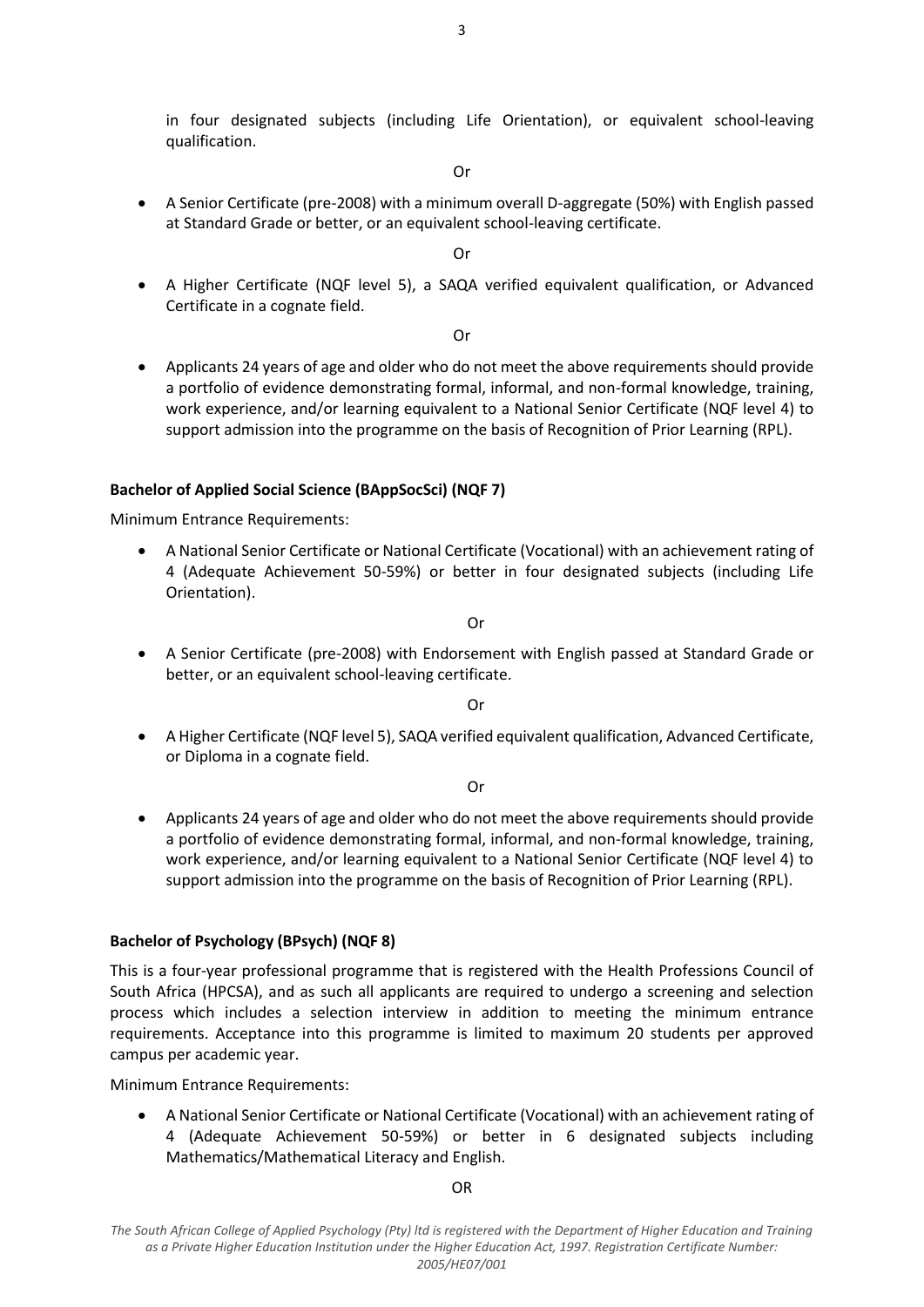in four designated subjects (including Life Orientation), or equivalent school-leaving qualification.

Or

 A Senior Certificate (pre-2008) with a minimum overall D-aggregate (50%) with English passed at Standard Grade or better, or an equivalent school-leaving certificate.

Or

 A Higher Certificate (NQF level 5), a SAQA verified equivalent qualification, or Advanced Certificate in a cognate field.

Or

 Applicants 24 years of age and older who do not meet the above requirements should provide a portfolio of evidence demonstrating formal, informal, and non-formal knowledge, training, work experience, and/or learning equivalent to a National Senior Certificate (NQF level 4) to support admission into the programme on the basis of Recognition of Prior Learning (RPL).

### **Bachelor of Applied Social Science (BAppSocSci) (NQF 7)**

Minimum Entrance Requirements:

 A National Senior Certificate or National Certificate (Vocational) with an achievement rating of 4 (Adequate Achievement 50-59%) or better in four designated subjects (including Life Orientation).

Or

 A Senior Certificate (pre-2008) with Endorsement with English passed at Standard Grade or better, or an equivalent school-leaving certificate.

Or

 A Higher Certificate (NQF level 5), SAQA verified equivalent qualification, Advanced Certificate, or Diploma in a cognate field.

Or

 Applicants 24 years of age and older who do not meet the above requirements should provide a portfolio of evidence demonstrating formal, informal, and non-formal knowledge, training, work experience, and/or learning equivalent to a National Senior Certificate (NQF level 4) to support admission into the programme on the basis of Recognition of Prior Learning (RPL).

### **Bachelor of Psychology (BPsych) (NQF 8)**

This is a four-year professional programme that is registered with the Health Professions Council of South Africa (HPCSA), and as such all applicants are required to undergo a screening and selection process which includes a selection interview in addition to meeting the minimum entrance requirements. Acceptance into this programme is limited to maximum 20 students per approved campus per academic year.

Minimum Entrance Requirements:

 A National Senior Certificate or National Certificate (Vocational) with an achievement rating of 4 (Adequate Achievement 50-59%) or better in 6 designated subjects including Mathematics/Mathematical Literacy and English.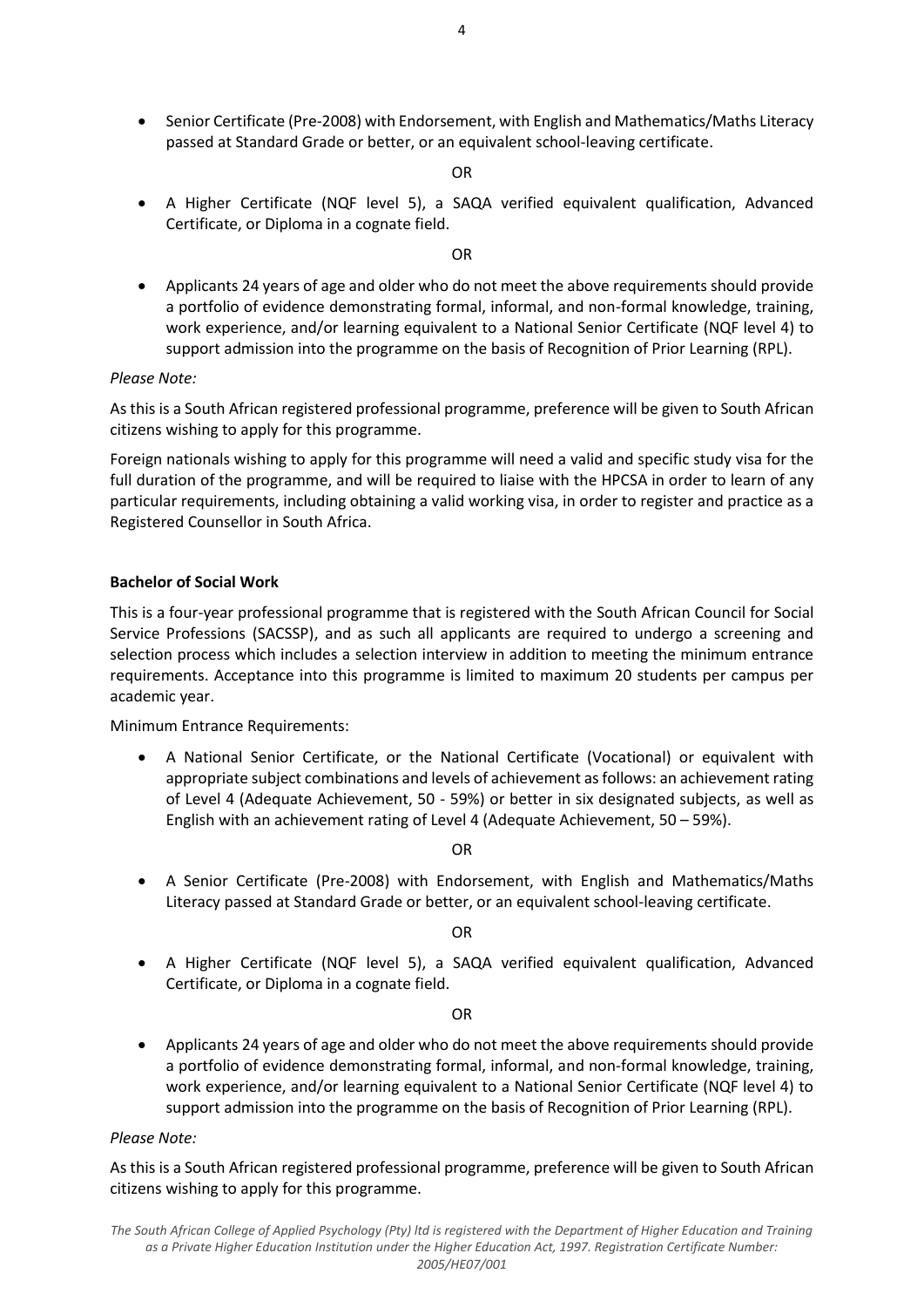- 4
- Senior Certificate (Pre-2008) with Endorsement, with English and Mathematics/Maths Literacy passed at Standard Grade or better, or an equivalent school-leaving certificate.

OR

 A Higher Certificate (NQF level 5), a SAQA verified equivalent qualification, Advanced Certificate, or Diploma in a cognate field.

OR

 Applicants 24 years of age and older who do not meet the above requirements should provide a portfolio of evidence demonstrating formal, informal, and non-formal knowledge, training, work experience, and/or learning equivalent to a National Senior Certificate (NQF level 4) to support admission into the programme on the basis of Recognition of Prior Learning (RPL).

### *Please Note:*

As this is a South African registered professional programme, preference will be given to South African citizens wishing to apply for this programme.

Foreign nationals wishing to apply for this programme will need a valid and specific study visa for the full duration of the programme, and will be required to liaise with the HPCSA in order to learn of any particular requirements, including obtaining a valid working visa, in order to register and practice as a Registered Counsellor in South Africa.

#### **Bachelor of Social Work**

This is a four-year professional programme that is registered with the South African Council for Social Service Professions (SACSSP), and as such all applicants are required to undergo a screening and selection process which includes a selection interview in addition to meeting the minimum entrance requirements. Acceptance into this programme is limited to maximum 20 students per campus per academic year.

Minimum Entrance Requirements:

 A National Senior Certificate, or the National Certificate (Vocational) or equivalent with appropriate subject combinations and levels of achievement as follows: an achievement rating of Level 4 (Adequate Achievement, 50 - 59%) or better in six designated subjects, as well as English with an achievement rating of Level 4 (Adequate Achievement, 50 – 59%).

OR

 A Senior Certificate (Pre-2008) with Endorsement, with English and Mathematics/Maths Literacy passed at Standard Grade or better, or an equivalent school-leaving certificate.

OR

 A Higher Certificate (NQF level 5), a SAQA verified equivalent qualification, Advanced Certificate, or Diploma in a cognate field.

OR

 Applicants 24 years of age and older who do not meet the above requirements should provide a portfolio of evidence demonstrating formal, informal, and non-formal knowledge, training, work experience, and/or learning equivalent to a National Senior Certificate (NQF level 4) to support admission into the programme on the basis of Recognition of Prior Learning (RPL).

### *Please Note:*

As this is a South African registered professional programme, preference will be given to South African citizens wishing to apply for this programme.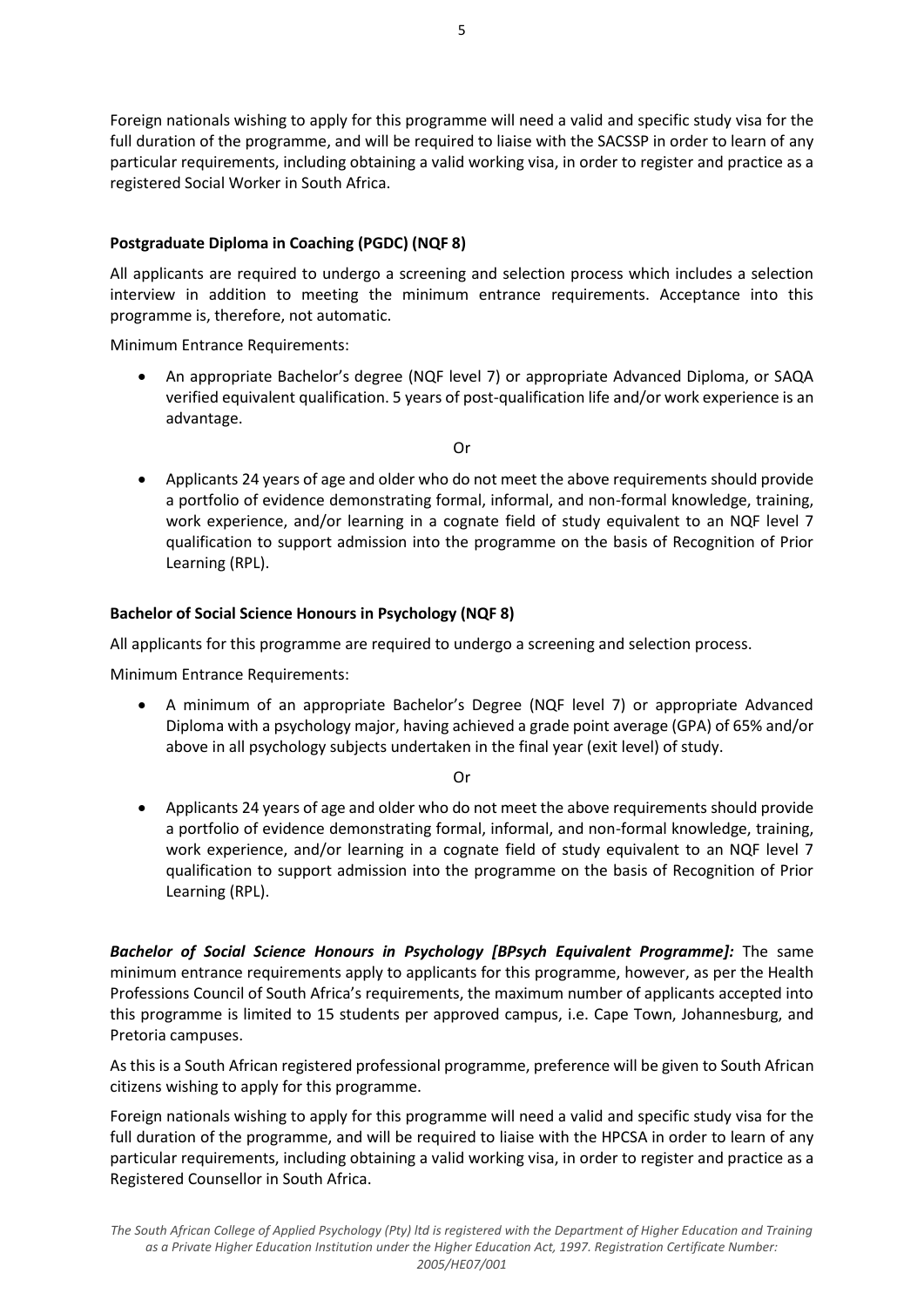Foreign nationals wishing to apply for this programme will need a valid and specific study visa for the full duration of the programme, and will be required to liaise with the SACSSP in order to learn of any particular requirements, including obtaining a valid working visa, in order to register and practice as a registered Social Worker in South Africa.

## **Postgraduate Diploma in Coaching (PGDC) (NQF 8)**

All applicants are required to undergo a screening and selection process which includes a selection interview in addition to meeting the minimum entrance requirements. Acceptance into this programme is, therefore, not automatic.

Minimum Entrance Requirements:

 An appropriate Bachelor's degree (NQF level 7) or appropriate Advanced Diploma, or SAQA verified equivalent qualification. 5 years of post-qualification life and/or work experience is an advantage.

Or

 Applicants 24 years of age and older who do not meet the above requirements should provide a portfolio of evidence demonstrating formal, informal, and non-formal knowledge, training, work experience, and/or learning in a cognate field of study equivalent to an NQF level 7 qualification to support admission into the programme on the basis of Recognition of Prior Learning (RPL).

## **Bachelor of Social Science Honours in Psychology (NQF 8)**

All applicants for this programme are required to undergo a screening and selection process.

Minimum Entrance Requirements:

 A minimum of an appropriate Bachelor's Degree (NQF level 7) or appropriate Advanced Diploma with a psychology major, having achieved a grade point average (GPA) of 65% and/or above in all psychology subjects undertaken in the final year (exit level) of study.

Or

 Applicants 24 years of age and older who do not meet the above requirements should provide a portfolio of evidence demonstrating formal, informal, and non-formal knowledge, training, work experience, and/or learning in a cognate field of study equivalent to an NQF level 7 qualification to support admission into the programme on the basis of Recognition of Prior Learning (RPL).

*Bachelor of Social Science Honours in Psychology [BPsych Equivalent Programme]:* The same minimum entrance requirements apply to applicants for this programme, however, as per the Health Professions Council of South Africa's requirements, the maximum number of applicants accepted into this programme is limited to 15 students per approved campus, i.e. Cape Town, Johannesburg, and Pretoria campuses.

As this is a South African registered professional programme, preference will be given to South African citizens wishing to apply for this programme.

Foreign nationals wishing to apply for this programme will need a valid and specific study visa for the full duration of the programme, and will be required to liaise with the HPCSA in order to learn of any particular requirements, including obtaining a valid working visa, in order to register and practice as a Registered Counsellor in South Africa.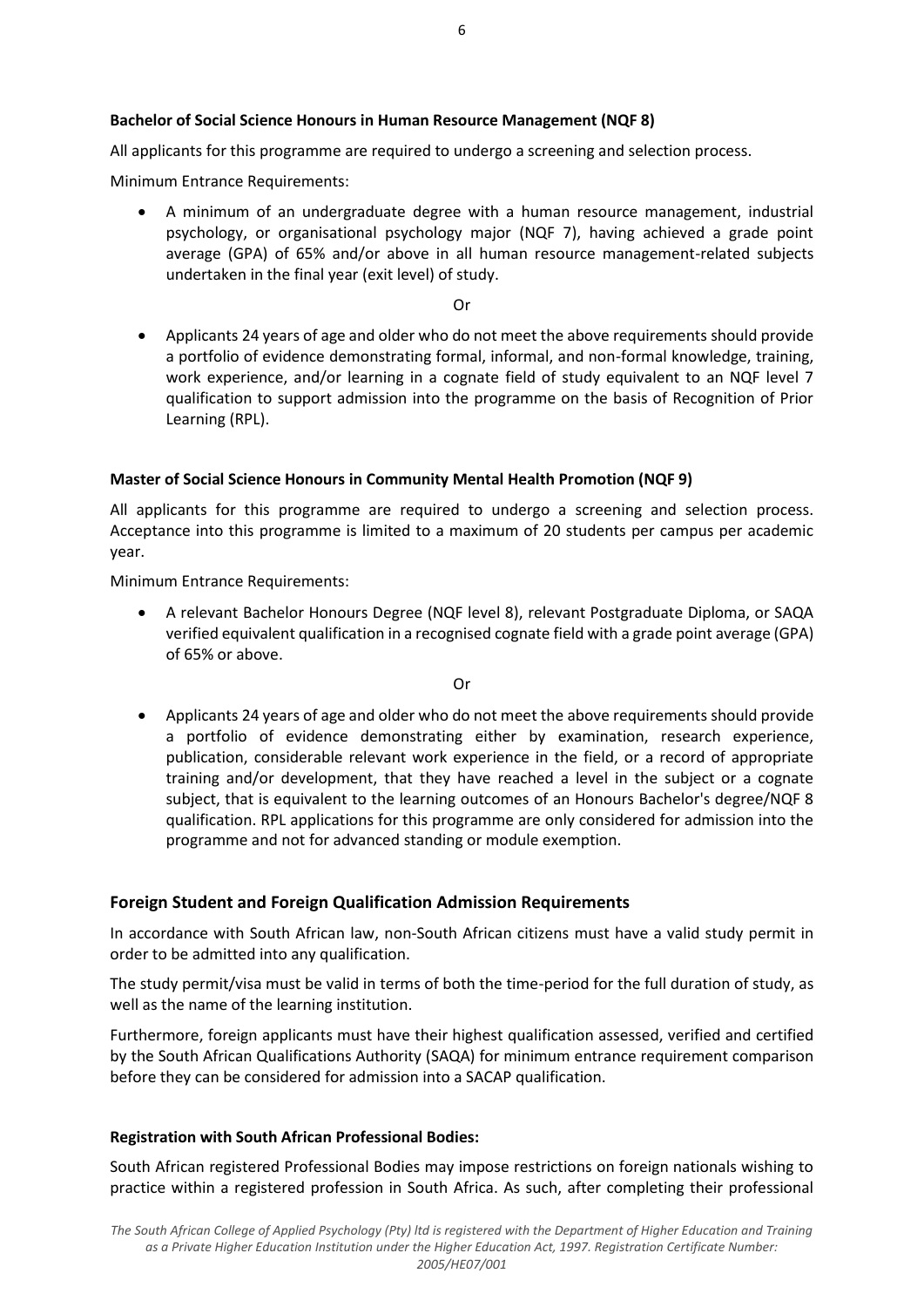## **Bachelor of Social Science Honours in Human Resource Management (NQF 8)**

All applicants for this programme are required to undergo a screening and selection process.

Minimum Entrance Requirements:

 A minimum of an undergraduate degree with a human resource management, industrial psychology, or organisational psychology major (NQF 7), having achieved a grade point average (GPA) of 65% and/or above in all human resource management-related subjects undertaken in the final year (exit level) of study.

Or

 Applicants 24 years of age and older who do not meet the above requirements should provide a portfolio of evidence demonstrating formal, informal, and non-formal knowledge, training, work experience, and/or learning in a cognate field of study equivalent to an NQF level 7 qualification to support admission into the programme on the basis of Recognition of Prior Learning (RPL).

### **Master of Social Science Honours in Community Mental Health Promotion (NQF 9)**

All applicants for this programme are required to undergo a screening and selection process. Acceptance into this programme is limited to a maximum of 20 students per campus per academic year.

Minimum Entrance Requirements:

 A relevant Bachelor Honours Degree (NQF level 8), relevant Postgraduate Diploma, or SAQA verified equivalent qualification in a recognised cognate field with a grade point average (GPA) of 65% or above.

Or

 Applicants 24 years of age and older who do not meet the above requirements should provide a portfolio of evidence demonstrating either by examination, research experience, publication, considerable relevant work experience in the field, or a record of appropriate training and/or development, that they have reached a level in the subject or a cognate subject, that is equivalent to the learning outcomes of an Honours Bachelor's degree/NQF 8 qualification. RPL applications for this programme are only considered for admission into the programme and not for advanced standing or module exemption.

### **Foreign Student and Foreign Qualification Admission Requirements**

In accordance with South African law, non-South African citizens must have a valid study permit in order to be admitted into any qualification.

The study permit/visa must be valid in terms of both the time-period for the full duration of study, as well as the name of the learning institution.

Furthermore, foreign applicants must have their highest qualification assessed, verified and certified by the South African Qualifications Authority (SAQA) for minimum entrance requirement comparison before they can be considered for admission into a SACAP qualification.

### **Registration with South African Professional Bodies:**

South African registered Professional Bodies may impose restrictions on foreign nationals wishing to practice within a registered profession in South Africa. As such, after completing their professional